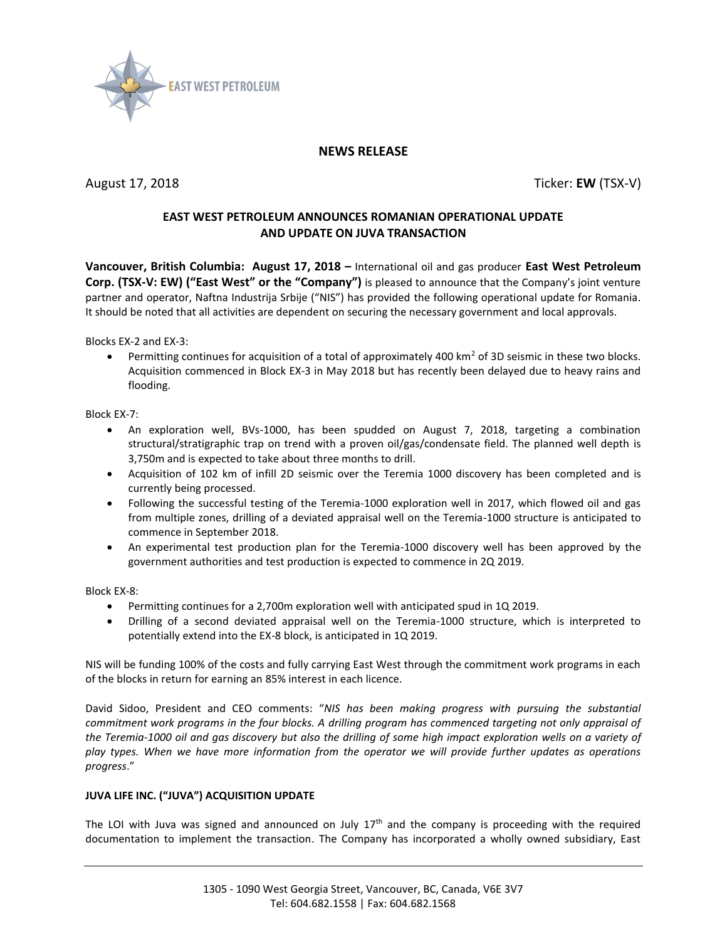

# **NEWS RELEASE**

August 17, 2018 Ticker: **EW** (TSX-V)

## **EAST WEST PETROLEUM ANNOUNCES ROMANIAN OPERATIONAL UPDATE AND UPDATE ON JUVA TRANSACTION**

**Vancouver, British Columbia: August 17, 2018 –** International oil and gas producer **East West Petroleum Corp. (TSX-V: EW) ("East West" or the "Company")** is pleased to announce that the Company's joint venture partner and operator, Naftna Industrija Srbije ("NIS") has provided the following operational update for Romania. It should be noted that all activities are dependent on securing the necessary government and local approvals.

Blocks EX-2 and EX-3:

**Permitting continues for acquisition of a total of approximately 400 km<sup>2</sup> of 3D seismic in these two blocks.** Acquisition commenced in Block EX-3 in May 2018 but has recently been delayed due to heavy rains and flooding.

Block EX-7:

- An exploration well, BVs-1000, has been spudded on August 7, 2018, targeting a combination structural/stratigraphic trap on trend with a proven oil/gas/condensate field. The planned well depth is 3,750m and is expected to take about three months to drill.
- Acquisition of 102 km of infill 2D seismic over the Teremia 1000 discovery has been completed and is currently being processed.
- Following the successful testing of the Teremia-1000 exploration well in 2017, which flowed oil and gas from multiple zones, drilling of a deviated appraisal well on the Teremia-1000 structure is anticipated to commence in September 2018.
- An experimental test production plan for the Teremia-1000 discovery well has been approved by the government authorities and test production is expected to commence in 2Q 2019.

Block EX-8:

- Permitting continues for a 2,700m exploration well with anticipated spud in 1Q 2019.
- Drilling of a second deviated appraisal well on the Teremia-1000 structure, which is interpreted to potentially extend into the EX-8 block, is anticipated in 1Q 2019.

NIS will be funding 100% of the costs and fully carrying East West through the commitment work programs in each of the blocks in return for earning an 85% interest in each licence.

David Sidoo, President and CEO comments: "*NIS has been making progress with pursuing the substantial commitment work programs in the four blocks. A drilling program has commenced targeting not only appraisal of the Teremia-1000 oil and gas discovery but also the drilling of some high impact exploration wells on a variety of play types. When we have more information from the operator we will provide further updates as operations progress*."

### **JUVA LIFE INC. ("JUVA") ACQUISITION UPDATE**

The LOI with Juva was signed and announced on July  $17<sup>th</sup>$  and the company is proceeding with the required documentation to implement the transaction. The Company has incorporated a wholly owned subsidiary, East